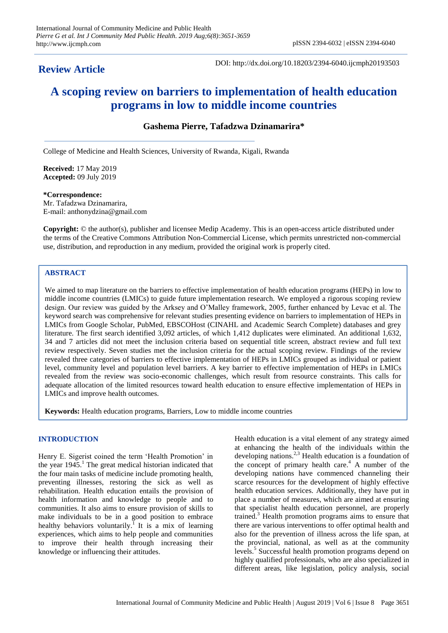# **Review Article**

DOI: http://dx.doi.org/10.18203/2394-6040.ijcmph20193503

# **A scoping review on barriers to implementation of health education programs in low to middle income countries**

# **Gashema Pierre, Tafadzwa Dzinamarira\***

College of Medicine and Health Sciences, University of Rwanda, Kigali, Rwanda

**Received:** 17 May 2019 **Accepted:** 09 July 2019

#### **\*Correspondence:**

Mr. Tafadzwa Dzinamarira, E-mail: anthonydzina@gmail.com

**Copyright:** © the author(s), publisher and licensee Medip Academy. This is an open-access article distributed under the terms of the Creative Commons Attribution Non-Commercial License, which permits unrestricted non-commercial use, distribution, and reproduction in any medium, provided the original work is properly cited.

# **ABSTRACT**

We aimed to map literature on the barriers to effective implementation of health education programs (HEPs) in low to middle income countries (LMICs) to guide future implementation research. We employed a rigorous scoping review design. Our review was guided by the Arksey and O'Malley framework, 2005, further enhanced by Levac et al. The keyword search was comprehensive for relevant studies presenting evidence on barriers to implementation of HEPs in LMICs from Google Scholar, PubMed, EBSCOHost (CINAHL and Academic Search Complete) databases and grey literature. The first search identified 3,092 articles, of which 1,412 duplicates were eliminated. An additional 1,632, 34 and 7 articles did not meet the inclusion criteria based on sequential title screen, abstract review and full text review respectively. Seven studies met the inclusion criteria for the actual scoping review. Findings of the review revealed three categories of barriers to effective implementation of HEPs in LMICs grouped as individual or patient level, community level and population level barriers. A key barrier to effective implementation of HEPs in LMICs revealed from the review was socio-economic challenges, which result from resource constraints. This calls for adequate allocation of the limited resources toward health education to ensure effective implementation of HEPs in LMICs and improve health outcomes.

**Keywords:** Health education programs, Barriers, Low to middle income countries

# **INTRODUCTION**

Henry E. Sigerist coined the term 'Health Promotion' in the year 1945. <sup>1</sup> The great medical historian indicated that the four main tasks of medicine include promoting health, preventing illnesses, restoring the sick as well as rehabilitation. Health education entails the provision of health information and knowledge to people and to communities. It also aims to ensure provision of skills to make individuals to be in a good position to embrace healthy behaviors voluntarily.<sup>I</sup> It is a mix of learning experiences, which aims to help people and communities to improve their health through increasing their knowledge or influencing their attitudes.

Health education is a vital element of any strategy aimed at enhancing the health of the individuals within the developing nations. 2,3 Health education is a foundation of the concept of primary health care. <sup>4</sup> A number of the developing nations have commenced channeling their scarce resources for the development of highly effective health education services. Additionally, they have put in place a number of measures, which are aimed at ensuring that specialist health education personnel, are properly trained. <sup>3</sup> Health promotion programs aims to ensure that there are various interventions to offer optimal health and also for the prevention of illness across the life span, at the provincial, national, as well as at the community levels.<sup>5</sup> Successful health promotion programs depend on highly qualified professionals, who are also specialized in different areas, like legislation, policy analysis, social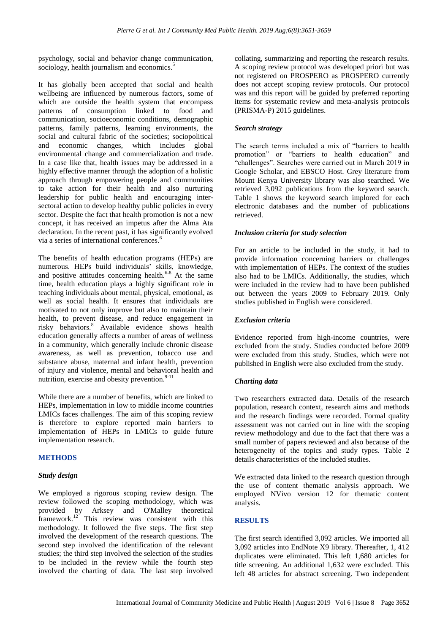psychology, social and behavior change communication, sociology, health journalism and economics.<sup>5</sup>

It has globally been accepted that social and health wellbeing are influenced by numerous factors, some of which are outside the health system that encompass patterns of consumption linked to food and communication, socioeconomic conditions, demographic patterns, family patterns, learning environments, the social and cultural fabric of the societies; sociopolitical and economic changes, which includes global environmental change and commercialization and trade. In a case like that, health issues may be addressed in a highly effective manner through the adoption of a holistic approach through empowering people and communities to take action for their health and also nurturing leadership for public health and encouraging intersectoral action to develop healthy public policies in every sector. Despite the fact that health promotion is not a new concept, it has received an impetus after the Alma Ata declaration. In the recent past, it has significantly evolved via a series of international conferences. 6

The benefits of health education programs (HEPs) are numerous. HEPs build individuals' skills, knowledge, and positive attitudes concerning health. $6-8$  At the same time, health education plays a highly significant role in teaching individuals about mental, physical, emotional, as well as social health. It ensures that individuals are motivated to not only improve but also to maintain their health, to prevent disease, and reduce engagement in risky behaviors.<sup>8</sup> Available evidence shows health education generally affects a number of areas of wellness in a community, which generally include chronic disease awareness, as well as prevention, tobacco use and substance abuse, maternal and infant health, prevention of injury and violence, mental and behavioral health and nutrition, exercise and obesity prevention.<sup>9-11</sup>

While there are a number of benefits, which are linked to HEPs, implementation in low to middle income countries LMICs faces challenges. The aim of this scoping review is therefore to explore reported main barriers to implementation of HEPs in LMICs to guide future implementation research.

# **METHODS**

# *Study design*

We employed a rigorous scoping review design. The review followed the scoping methodology, which was provided by Arksey and O'Malley theoretical framework.<sup>12</sup> This review was consistent with this methodology. It followed the five steps. The first step involved the development of the research questions. The second step involved the identification of the relevant studies; the third step involved the selection of the studies to be included in the review while the fourth step involved the charting of data. The last step involved collating, summarizing and reporting the research results. A scoping review protocol was developed priori but was not registered on PROSPERO as PROSPERO currently does not accept scoping review protocols. Our protocol was and this report will be guided by preferred reporting items for systematic review and meta-analysis protocols (PRISMA-P) 2015 guidelines.

# *Search strategy*

The search terms included a mix of "barriers to health" promotion" or "barriers to health education" and ―challenges‖. Searches were carried out in March 2019 in Google Scholar, and EBSCO Host. Grey literature from Mount Kenya University library was also searched. We retrieved 3,092 publications from the keyword search. Table 1 shows the keyword search implored for each electronic databases and the number of publications retrieved.

#### *Inclusion criteria for study selection*

For an article to be included in the study, it had to provide information concerning barriers or challenges with implementation of HEPs. The context of the studies also had to be LMICs. Additionally, the studies, which were included in the review had to have been published out between the years 2009 to February 2019. Only studies published in English were considered.

# *Exclusion criteria*

Evidence reported from high-income countries, were excluded from the study. Studies conducted before 2009 were excluded from this study. Studies, which were not published in English were also excluded from the study.

# *Charting data*

Two researchers extracted data. Details of the research population, research context, research aims and methods and the research findings were recorded. Formal quality assessment was not carried out in line with the scoping review methodology and due to the fact that there was a small number of papers reviewed and also because of the heterogeneity of the topics and study types. Table 2 details characteristics of the included studies.

We extracted data linked to the research question through the use of content thematic analysis approach. We employed NVivo version 12 for thematic content analysis.

# **RESULTS**

The first search identified 3,092 articles. We imported all 3,092 articles into EndNote X9 library. Thereafter, 1, 412 duplicates were eliminated. This left 1,680 articles for title screening. An additional 1,632 were excluded. This left 48 articles for abstract screening. Two independent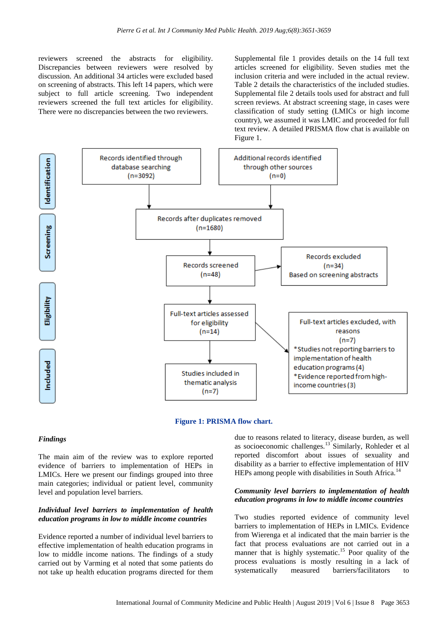reviewers screened the abstracts for eligibility. Discrepancies between reviewers were resolved by discussion. An additional 34 articles were excluded based on screening of abstracts. This left 14 papers, which were subject to full article screening. Two independent reviewers screened the full text articles for eligibility. There were no discrepancies between the two reviewers.

Supplemental file 1 provides details on the 14 full text articles screened for eligibility. Seven studies met the inclusion criteria and were included in the actual review. Table 2 details the characteristics of the included studies. Supplemental file 2 details tools used for abstract and full screen reviews. At abstract screening stage, in cases were classification of study setting (LMICs or high income country), we assumed it was LMIC and proceeded for full text review. A detailed PRISMA flow chat is available on Figure 1.





# *Findings*

The main aim of the review was to explore reported evidence of barriers to implementation of HEPs in LMICs. Here we present our findings grouped into three main categories; individual or patient level, community level and population level barriers.

### *Individual level barriers to implementation of health education programs in low to middle income countries*

Evidence reported a number of individual level barriers to effective implementation of health education programs in low to middle income nations. The findings of a study carried out by Varming et al noted that some patients do not take up health education programs directed for them due to reasons related to literacy, disease burden, as well as socioeconomic challenges.<sup>13</sup> Similarly, Rohleder et al reported discomfort about issues of sexuality and disability as a barrier to effective implementation of HIV HEPs among people with disabilities in South Africa.<sup>14</sup>

### *Community level barriers to implementation of health education programs in low to middle income countries*

Two studies reported evidence of community level barriers to implementation of HEPs in LMICs. Evidence from Wierenga et al indicated that the main barrier is the fact that process evaluations are not carried out in a manner that is highly systematic.<sup>15</sup> Poor quality of the process evaluations is mostly resulting in a lack of systematically measured barriers/facilitators to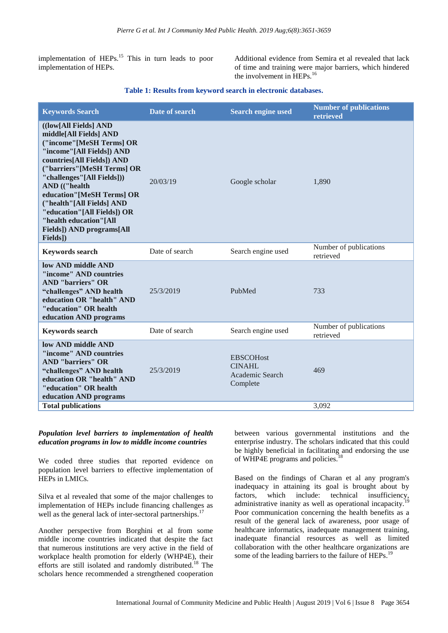implementation of HEPs.<sup>15</sup> This in turn leads to poor implementation of HEPs.

Additional evidence from Semira et al revealed that lack of time and training were major barriers, which hindered the involvement in HEPs.<sup>16</sup>

#### **Table 1: Results from keyword search in electronic databases.**

| <b>Keywords Search</b>                                                                                                                                                                                                                                                                                                                                                                  | Date of search | <b>Search engine used</b>                                 | <b>Number of publications</b><br>retrieved |
|-----------------------------------------------------------------------------------------------------------------------------------------------------------------------------------------------------------------------------------------------------------------------------------------------------------------------------------------------------------------------------------------|----------------|-----------------------------------------------------------|--------------------------------------------|
| ((low[All Fields] AND<br>middle[All Fields] AND<br>("income"[MeSH Terms] OR<br>"income"[All Fields]) AND<br>countries[All Fields]) AND<br>("barriers"[MeSH Terms] OR<br>"challenges"[All Fields]))<br>AND (("health<br>education"[MeSH Terms] OR<br>("health"[All Fields] AND<br>"education"[All Fields]) OR<br>"health education"[All<br><b>Fields</b> ]) AND programs[All<br>Fields]) | 20/03/19       | Google scholar                                            | 1,890                                      |
| <b>Keywords search</b>                                                                                                                                                                                                                                                                                                                                                                  | Date of search | Search engine used                                        | Number of publications<br>retrieved        |
| low AND middle AND<br>"income" AND countries<br><b>AND</b> "barriers" OR<br>"challenges" AND health<br>education OR "health" AND<br>"education" OR health<br>education AND programs                                                                                                                                                                                                     | 25/3/2019      | PubMed                                                    | 733                                        |
| <b>Keywords search</b>                                                                                                                                                                                                                                                                                                                                                                  | Date of search | Search engine used                                        | Number of publications<br>retrieved        |
| low AND middle AND<br>"income" AND countries<br><b>AND "barriers" OR</b><br>"challenges" AND health<br>education OR "health" AND<br>"education" OR health<br>education AND programs                                                                                                                                                                                                     | 25/3/2019      | <b>EBSCOHost</b><br>CINAHL<br>Academic Search<br>Complete | 469                                        |
| <b>Total publications</b>                                                                                                                                                                                                                                                                                                                                                               |                |                                                           | 3,092                                      |

# *Population level barriers to implementation of health education programs in low to middle income countries*

We coded three studies that reported evidence on population level barriers to effective implementation of HEPs in LMICs.

Silva et al revealed that some of the major challenges to implementation of HEPs include financing challenges as well as the general lack of inter-sectoral partnerships.<sup>17</sup>

Another perspective from Borghini et al from some middle income countries indicated that despite the fact that numerous institutions are very active in the field of workplace health promotion for elderly (WHP4E), their efforts are still isolated and randomly distributed.<sup>18</sup> The scholars hence recommended a strengthened cooperation

between various governmental institutions and the enterprise industry. The scholars indicated that this could be highly beneficial in facilitating and endorsing the use of WHP4E programs and policies.<sup>18</sup>

Based on the findings of Charan et al any program's inadequacy in attaining its goal is brought about by factors, which include: technical insufficiency, factors, which include: technical administrative inanity as well as operational incapacity.<sup>1</sup> Poor communication concerning the health benefits as a result of the general lack of awareness, poor usage of healthcare informatics, inadequate management training, inadequate financial resources as well as limited collaboration with the other healthcare organizations are some of the leading barriers to the failure of HEPs.<sup>19</sup>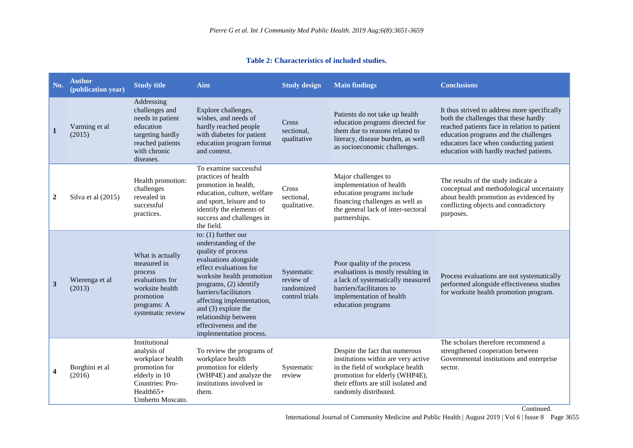|  | Table 2: Characteristics of included studies. |  |  |
|--|-----------------------------------------------|--|--|
|--|-----------------------------------------------|--|--|

| No.                     | <b>Author</b><br>(publication year) | <b>Study title</b>                                                                                                                       | Aim                                                                                                                                                                                                                                                                                                                                      | <b>Study design</b>                                     | <b>Main findings</b>                                                                                                                                                                                         | <b>Conclusions</b>                                                                                                                                                                                                                                                  |
|-------------------------|-------------------------------------|------------------------------------------------------------------------------------------------------------------------------------------|------------------------------------------------------------------------------------------------------------------------------------------------------------------------------------------------------------------------------------------------------------------------------------------------------------------------------------------|---------------------------------------------------------|--------------------------------------------------------------------------------------------------------------------------------------------------------------------------------------------------------------|---------------------------------------------------------------------------------------------------------------------------------------------------------------------------------------------------------------------------------------------------------------------|
| $\mathbf{1}$            | Varming et al<br>(2015)             | Addressing<br>challenges and<br>needs in patient<br>education<br>targeting hardly<br>reached patients<br>with chronic<br>diseases.       | Explore challenges,<br>wishes, and needs of<br>hardly reached people<br>with diabetes for patient<br>education program format<br>and content.                                                                                                                                                                                            | <b>Cross</b><br>sectional,<br>qualitative               | Patients do not take up health<br>education programs directed for<br>them due to reasons related to<br>literacy, disease burden, as well<br>as socioeconomic challenges.                                     | It thus strived to address more specifically<br>both the challenges that these hardly<br>reached patients face in relation to patient<br>education programs and the challenges<br>educators face when conducting patient<br>education with hardly reached patients. |
| $\boldsymbol{2}$        | Silva et al (2015)                  | Health promotion:<br>challenges<br>revealed in<br>successful<br>practices.                                                               | To examine successful<br>practices of health<br>promotion in health,<br>education, culture, welfare<br>and sport, leisure and to<br>identify the elements of<br>success and challenges in<br>the field.                                                                                                                                  | Cross<br>sectional,<br>qualitative.                     | Major challenges to<br>implementation of health<br>education programs include<br>financing challenges as well as<br>the general lack of inter-sectoral<br>partnerships.                                      | The results of the study indicate a<br>conceptual and methodological uncertainty<br>about health promotion as evidenced by<br>conflicting objects and contradictory<br>purposes.                                                                                    |
| $\mathbf{3}$            | Wierenga et al<br>(2013)            | What is actually<br>measured in<br>process<br>evaluations for<br>worksite health<br>promotion<br>programs: A<br>systematic review        | to: $(1)$ further our<br>understanding of the<br>quality of process<br>evaluations alongside<br>effect evaluations for<br>worksite health promotion<br>programs, (2) identify<br>barriers/facilitators<br>affecting implementation,<br>and $(3)$ explore the<br>relationship between<br>effectiveness and the<br>implementation process. | Systematic<br>review of<br>randomized<br>control trials | Poor quality of the process<br>evaluations is mostly resulting in<br>a lack of systematically measured<br>barriers/facilitators to<br>implementation of health<br>education programs                         | Process evaluations are not systematically<br>performed alongside effectiveness studies<br>for worksite health promotion program.                                                                                                                                   |
| $\overline{\mathbf{4}}$ | Borghini et al<br>(2016)            | Institutional<br>analysis of<br>workplace health<br>promotion for<br>elderly in 10<br>Countries: Pro-<br>$Health65+$<br>Umberto Moscato. | To review the programs of<br>workplace health<br>promotion for elderly<br>(WHP4E) and analyze the<br>institutions involved in<br>them.                                                                                                                                                                                                   | Systematic<br>review                                    | Despite the fact that numerous<br>institutions within are very active<br>in the field of workplace health<br>promotion for elderly (WHP4E),<br>their efforts are still isolated and<br>randomly distributed. | The scholars therefore recommend a<br>strengthened cooperation between<br>Governmental institutions and enterprise<br>sector.                                                                                                                                       |

International Journal of Community Medicine and Public Health | August 2019 | Vol 6 | Issue 8 Page 3655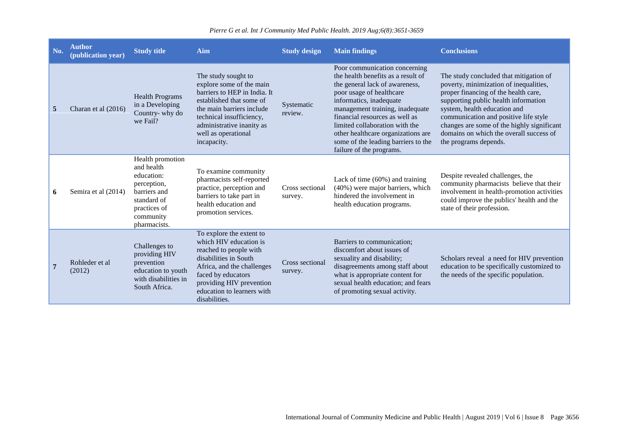| No. | <b>Author</b><br>(publication year) | <b>Study title</b>                                                                                                                      | Aim                                                                                                                                                                                                                                     | <b>Study design</b>        | <b>Main findings</b>                                                                                                                                                                                                                                                                                                                                                         | <b>Conclusions</b>                                                                                                                                                                                                                                                                                                                                          |
|-----|-------------------------------------|-----------------------------------------------------------------------------------------------------------------------------------------|-----------------------------------------------------------------------------------------------------------------------------------------------------------------------------------------------------------------------------------------|----------------------------|------------------------------------------------------------------------------------------------------------------------------------------------------------------------------------------------------------------------------------------------------------------------------------------------------------------------------------------------------------------------------|-------------------------------------------------------------------------------------------------------------------------------------------------------------------------------------------------------------------------------------------------------------------------------------------------------------------------------------------------------------|
| 5   | Charan et al (2016)                 | <b>Health Programs</b><br>in a Developing<br>Country-why do<br>we Fail?                                                                 | The study sought to<br>explore some of the main<br>barriers to HEP in India. It<br>established that some of<br>the main barriers include<br>technical insufficiency,<br>administrative inanity as<br>well as operational<br>incapacity. | Systematic<br>review.      | Poor communication concerning<br>the health benefits as a result of<br>the general lack of awareness,<br>poor usage of healthcare<br>informatics, inadequate<br>management training, inadequate<br>financial resources as well as<br>limited collaboration with the<br>other healthcare organizations are<br>some of the leading barriers to the<br>failure of the programs. | The study concluded that mitigation of<br>poverty, minimization of inequalities,<br>proper financing of the health care,<br>supporting public health information<br>system, health education and<br>communication and positive life style<br>changes are some of the highly significant<br>domains on which the overall success of<br>the programs depends. |
| 6   | Semira et al (2014)                 | Health promotion<br>and health<br>education:<br>perception,<br>barriers and<br>standard of<br>practices of<br>community<br>pharmacists. | To examine community<br>pharmacists self-reported<br>practice, perception and<br>barriers to take part in<br>health education and<br>promotion services.                                                                                | Cross sectional<br>survey. | Lack of time $(60\%)$ and training<br>(40%) were major barriers, which<br>hindered the involvement in<br>health education programs.                                                                                                                                                                                                                                          | Despite revealed challenges, the<br>community pharmacists believe that their<br>involvement in health-promotion activities<br>could improve the publics' health and the<br>state of their profession.                                                                                                                                                       |
|     | Rohleder et al<br>(2012)            | Challenges to<br>providing HIV<br>prevention<br>education to youth<br>with disabilities in<br>South Africa.                             | To explore the extent to<br>which HIV education is<br>reached to people with<br>disabilities in South<br>Africa, and the challenges<br>faced by educators<br>providing HIV prevention<br>education to learners with<br>disabilities.    | Cross sectional<br>survey. | Barriers to communication;<br>discomfort about issues of<br>sexuality and disability;<br>disagreements among staff about<br>what is appropriate content for<br>sexual health education; and fears<br>of promoting sexual activity.                                                                                                                                           | Scholars reveal a need for HIV prevention<br>education to be specifically customized to<br>the needs of the specific population.                                                                                                                                                                                                                            |

# *Pierre G et al. Int J Community Med Public Health. 2019 Aug;6(8):3651-3659*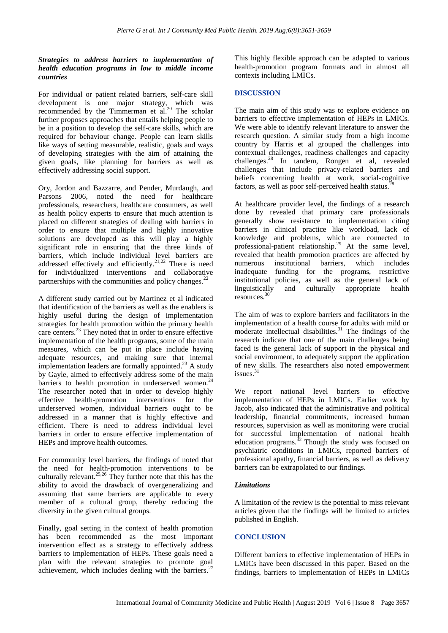# *Strategies to address barriers to implementation of health education programs in low to middle income countries*

For individual or patient related barriers, self-care skill development is one major strategy, which was recommended by the Timmerman et al.<sup>20</sup> The scholar further proposes approaches that entails helping people to be in a position to develop the self-care skills, which are required for behaviour change. People can learn skills like ways of setting measurable, realistic, goals and ways of developing strategies with the aim of attaining the given goals, like planning for barriers as well as effectively addressing social support.

Ory, Jordon and Bazzarre, and Pender, Murdaugh, and Parsons 2006, noted the need for healthcare professionals, researchers, healthcare consumers, as well as health policy experts to ensure that much attention is placed on different strategies of dealing with barriers in order to ensure that multiple and highly innovative solutions are developed as this will play a highly significant role in ensuring that the three kinds of barriers, which include individual level barriers are addressed effectively and efficiently.<sup>21,22</sup> There is need for individualized interventions and collaborative partnerships with the communities and policy changes.<sup>22</sup>

A different study carried out by Martinez et al indicated that identification of the barriers as well as the enablers is highly useful during the design of implementation strategies for health promotion within the primary health care centers.<sup>23</sup> They noted that in order to ensure effective implementation of the health programs, some of the main measures, which can be put in place include having adequate resources, and making sure that internal implementation leaders are formally appointed.<sup>23</sup> A study by Gayle, aimed to effectively address some of the main barriers to health promotion in underserved women.<sup>24</sup> The researcher noted that in order to develop highly effective health-promotion interventions for the underserved women, individual barriers ought to be addressed in a manner that is highly effective and efficient. There is need to address individual level barriers in order to ensure effective implementation of HEPs and improve health outcomes.

For community level barriers, the findings of noted that the need for health-promotion interventions to be culturally relevant.<sup>25,26</sup> They further note that this has the ability to avoid the drawback of overgeneralizing and assuming that same barriers are applicable to every member of a cultural group, thereby reducing the diversity in the given cultural groups.

Finally, goal setting in the context of health promotion has been recommended as the most important intervention effect as a strategy to effectively address barriers to implementation of HEPs. These goals need a plan with the relevant strategies to promote goal achievement, which includes dealing with the barriers.<sup>27</sup>

This highly flexible approach can be adapted to various health-promotion program formats and in almost all contexts including LMICs.

# **DISCUSSION**

The main aim of this study was to explore evidence on barriers to effective implementation of HEPs in LMICs. We were able to identify relevant literature to answer the research question. A similar study from a high income country by Harris et al grouped the challenges into contextual challenges, readiness challenges and capacity challenges.<sup>28</sup> In tandem, Rongen et al, revealed challenges that include privacy-related barriers and beliefs concerning health at work, social-cognitive factors, as well as poor self-perceived health status.<sup>2</sup>

At healthcare provider level, the findings of a research done by revealed that primary care professionals generally show resistance to implementation citing barriers in clinical practice like workload, lack of knowledge and problems, which are connected to professional-patient relationship.<sup>29</sup> At the same level, revealed that health promotion practices are affected by numerous institutional barriers, which includes inadequate funding for the programs, restrictive institutional policies, as well as the general lack of linguistically and culturally appropriate health resources.<sup>30</sup>

The aim of was to explore barriers and facilitators in the implementation of a health course for adults with mild or moderate intellectual disabilities.<sup>31</sup> The findings of the research indicate that one of the main challenges being faced is the general lack of support in the physical and social environment, to adequately support the application of new skills. The researchers also noted empowerment issues. 31

We report national level barriers to effective implementation of HEPs in LMICs. Earlier work by Jacob, also indicated that the administrative and political leadership, financial commitments, increased human resources, supervision as well as monitoring were crucial for successful implementation of national health education programs. $32$  Though the study was focused on psychiatric conditions in LMICs, reported barriers of professional apathy, financial barriers, as well as delivery barriers can be extrapolated to our findings.

# *Limitations*

A limitation of the review is the potential to miss relevant articles given that the findings will be limited to articles published in English.

# **CONCLUSION**

Different barriers to effective implementation of HEPs in LMICs have been discussed in this paper. Based on the findings, barriers to implementation of HEPs in LMICs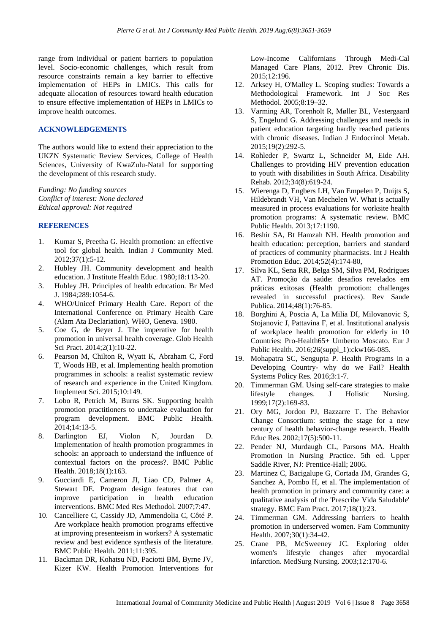range from individual or patient barriers to population level. Socio-economic challenges, which result from resource constraints remain a key barrier to effective implementation of HEPs in LMICs. This calls for adequate allocation of resources toward health education to ensure effective implementation of HEPs in LMICs to improve health outcomes.

# **ACKNOWLEDGEMENTS**

The authors would like to extend their appreciation to the UKZN Systematic Review Services, College of Health Sciences, University of KwaZulu-Natal for supporting the development of this research study.

*Funding: No funding sources Conflict of interest: None declared Ethical approval: Not required*

# **REFERENCES**

- 1. Kumar S, Preetha G. Health promotion: an effective tool for global health. Indian J Community Med. 2012;37(1):5-12.
- 2. Hubley JH. Community development and health education. J Institute Health Educ. 1980;18:113-20.
- 3. Hubley JH. Principles of health education. Br Med J. 1984;289:1054-6.
- 4. WHO/Unicef Primary Health Care. Report of the International Conference on Primary Health Care (Alam Ata Declariation). WHO, Geneva. 1980.
- 5. Coe G, de Beyer J. The imperative for health promotion in universal health coverage. Glob Health Sci Pract. 2014;2(1):10-22.
- 6. Pearson M, Chilton R, Wyatt K, Abraham C, Ford T, Woods HB, et al. Implementing health promotion programmes in schools: a realist systematic review of research and experience in the United Kingdom. Implement Sci. 2015;10:149.
- 7. Lobo R, Petrich M, Burns SK. Supporting health promotion practitioners to undertake evaluation for program development. BMC Public Health. 2014;14:13-5.
- 8. Darlington EJ, Violon N, Jourdan D. Implementation of health promotion programmes in schools: an approach to understand the influence of contextual factors on the process?. BMC Public Health. 2018;18(1):163.
- 9. Gucciardi E, Cameron JI, Liao CD, Palmer A, Stewart DE. Program design features that can improve participation in health education interventions. BMC Med Res Methodol. 2007;7:47.
- 10. Cancelliere C, Cassidy JD, Ammendolia C, Côté P. Are workplace health promotion programs effective at improving presenteeism in workers? A systematic review and best evidence synthesis of the literature. BMC Public Health. 2011;11:395.
- 11. Backman DR, Kohatsu ND, Paciotti BM, Byrne JV, Kizer KW. Health Promotion Interventions for

Low-Income Californians Through Medi-Cal Managed Care Plans, 2012. Prev Chronic Dis. 2015;12:196.

- 12. Arksey H, O'Malley L. Scoping studies: Towards a Methodological Framework. Int J Soc Res Methodol. 2005;8:19–32.
- 13. Varming AR, Torenholt R, Møller BL, Vestergaard S, Engelund G. Addressing challenges and needs in patient education targeting hardly reached patients with chronic diseases. Indian J Endocrinol Metab. 2015;19(2):292-5.
- 14. Rohleder P, Swartz L, Schneider M, Eide AH. Challenges to providing HIV prevention education to youth with disabilities in South Africa. Disability Rehab. 2012;34(8):619-24.
- 15. Wierenga D, Engbers LH, Van Empelen P, Duijts S, Hildebrandt VH, Van Mechelen W. What is actually measured in process evaluations for worksite health promotion programs: A systematic review. BMC Public Health. 2013;17:1190.
- 16. Beshir SA, Bt Hamzah NH. Health promotion and health education: perception, barriers and standard of practices of community pharmacists. Int J Health Promotion Educ. 2014;52(4):174-80,
- 17. Silva KL, Sena RR, Belga SM, Silva PM, Rodrigues AT. Promoção da saúde: desafios revelados em práticas exitosas (Health promotion: challenges revealed in successful practices). Rev Saude Publica. 2014;48(1):76-85.
- 18. Borghini A, Poscia A, La Milia DI, Milovanovic S, Stojanovic J, Pattavina F, et al. Institutional analysis of workplace health promotion for elderly in 10 Countries: Pro-Health65+ Umberto Moscato. Eur J Public Health. 2016;26(suppl\_1):ckw166-085.
- 19. Mohapatra SC, Sengupta P. Health Programs in a Developing Country- why do we Fail? Health Systems Policy Res. 2016;3:1-7.
- 20. Timmerman GM. Using self-care strategies to make lifestyle changes. J Holistic Nursing. 1999;17(2):169-83.
- 21. Ory MG, Jordon PJ, Bazzarre T. The Behavior Change Consortium: setting the stage for a new century of health behavior-change research. Health Educ Res. 2002;17(5):500-11.
- 22. Pender NJ, Murdaugh CL, Parsons MA. Health Promotion in Nursing Practice. 5th ed. Upper Saddle River, NJ: Prentice-Hall; 2006.
- 23. Martinez C, Bacigalupe G, Cortada JM, Grandes G, Sanchez A, Pombo H, et al. The implementation of health promotion in primary and community care: a qualitative analysis of the 'Prescribe Vida Saludable' strategy. BMC Fam Pract. 2017;18(1):23.
- 24. Timmerman GM. Addressing barriers to health promotion in underserved women. Fam Community Health. 2007;30(1):34-42.
- 25. Crane PB, McSweeney JC. Exploring older women's lifestyle changes after myocardial infarction. MedSurg Nursing. 2003;12:170-6.